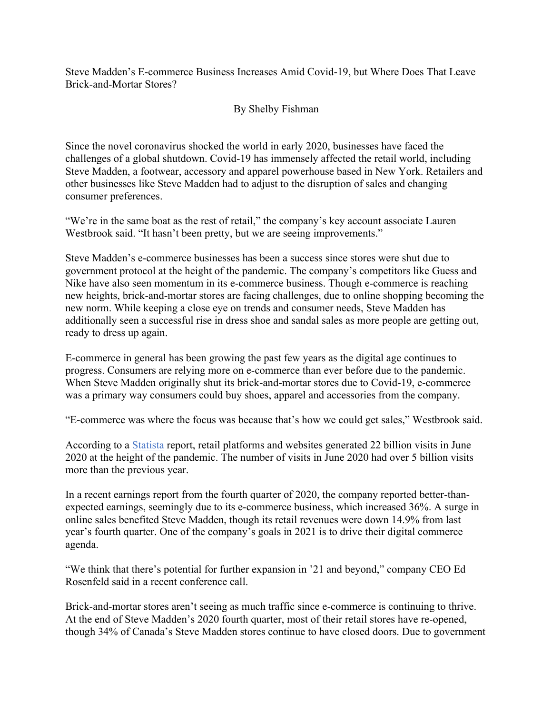Steve Madden's E-commerce Business Increases Amid Covid-19, but Where Does That Leave Brick-and-Mortar Stores?

## By Shelby Fishman

Since the novel coronavirus shocked the world in early 2020, businesses have faced the challenges of a global shutdown. Covid-19 has immensely affected the retail world, including Steve Madden, a footwear, accessory and apparel powerhouse based in New York. Retailers and other businesses like Steve Madden had to adjust to the disruption of sales and changing consumer preferences.

"We're in the same boat as the rest of retail," the company's key account associate Lauren Westbrook said. "It hasn't been pretty, but we are seeing improvements."

Steve Madden's e-commerce businesses has been a success since stores were shut due to government protocol at the height of the pandemic. The company's competitors like Guess and Nike have also seen momentum in its e-commerce business. Though e-commerce is reaching new heights, brick-and-mortar stores are facing challenges, due to online shopping becoming the new norm. While keeping a close eye on trends and consumer needs, Steve Madden has additionally seen a successful rise in dress shoe and sandal sales as more people are getting out, ready to dress up again.

E-commerce in general has been growing the past few years as the digital age continues to progress. Consumers are relying more on e-commerce than ever before due to the pandemic. When Steve Madden originally shut its brick-and-mortar stores due to Covid-19, e-commerce was a primary way consumers could buy shoes, apparel and accessories from the company.

"E-commerce was where the focus was because that's how we could get sales," Westbrook said.

According to a Statista report, retail platforms and websites generated 22 billion visits in June 2020 at the height of the pandemic. The number of visits in June 2020 had over 5 billion visits more than the previous year.

In a recent earnings report from the fourth quarter of 2020, the company reported better-thanexpected earnings, seemingly due to its e-commerce business, which increased 36%. A surge in online sales benefited Steve Madden, though its retail revenues were down 14.9% from last year's fourth quarter. One of the company's goals in 2021 is to drive their digital commerce agenda.

"We think that there's potential for further expansion in '21 and beyond," company CEO Ed Rosenfeld said in a recent conference call.

Brick-and-mortar stores aren't seeing as much traffic since e-commerce is continuing to thrive. At the end of Steve Madden's 2020 fourth quarter, most of their retail stores have re-opened, though 34% of Canada's Steve Madden stores continue to have closed doors. Due to government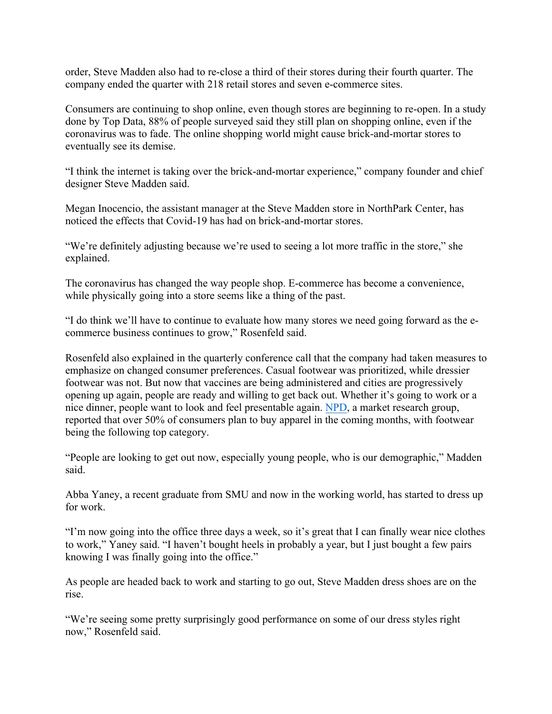order, Steve Madden also had to re-close a third of their stores during their fourth quarter. The company ended the quarter with 218 retail stores and seven e-commerce sites.

Consumers are continuing to shop online, even though stores are beginning to re-open. In a study done by Top Data, 88% of people surveyed said they still plan on shopping online, even if the coronavirus was to fade. The online shopping world might cause brick-and-mortar stores to eventually see its demise.

"I think the internet is taking over the brick-and-mortar experience," company founder and chief designer Steve Madden said.

Megan Inocencio, the assistant manager at the Steve Madden store in NorthPark Center, has noticed the effects that Covid-19 has had on brick-and-mortar stores.

"We're definitely adjusting because we're used to seeing a lot more traffic in the store," she explained.

The coronavirus has changed the way people shop. E-commerce has become a convenience, while physically going into a store seems like a thing of the past.

"I do think we'll have to continue to evaluate how many stores we need going forward as the ecommerce business continues to grow," Rosenfeld said.

Rosenfeld also explained in the quarterly conference call that the company had taken measures to emphasize on changed consumer preferences. Casual footwear was prioritized, while dressier footwear was not. But now that vaccines are being administered and cities are progressively opening up again, people are ready and willing to get back out. Whether it's going to work or a nice dinner, people want to look and feel presentable again. NPD, a market research group, reported that over 50% of consumers plan to buy apparel in the coming months, with footwear being the following top category.

"People are looking to get out now, especially young people, who is our demographic," Madden said.

Abba Yaney, a recent graduate from SMU and now in the working world, has started to dress up for work.

"I'm now going into the office three days a week, so it's great that I can finally wear nice clothes to work," Yaney said. "I haven't bought heels in probably a year, but I just bought a few pairs knowing I was finally going into the office."

As people are headed back to work and starting to go out, Steve Madden dress shoes are on the rise.

"We're seeing some pretty surprisingly good performance on some of our dress styles right now," Rosenfeld said.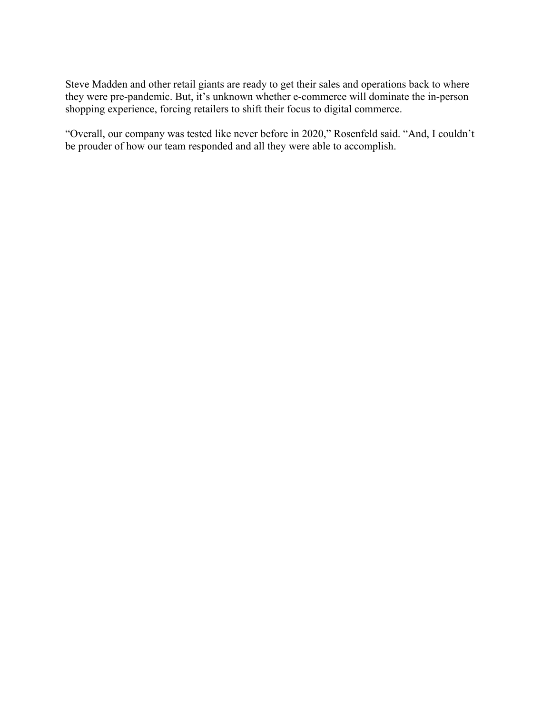Steve Madden and other retail giants are ready to get their sales and operations back to where they were pre-pandemic. But, it's unknown whether e-commerce will dominate the in-person shopping experience, forcing retailers to shift their focus to digital commerce.

"Overall, our company was tested like never before in 2020," Rosenfeld said. "And, I couldn't be prouder of how our team responded and all they were able to accomplish.